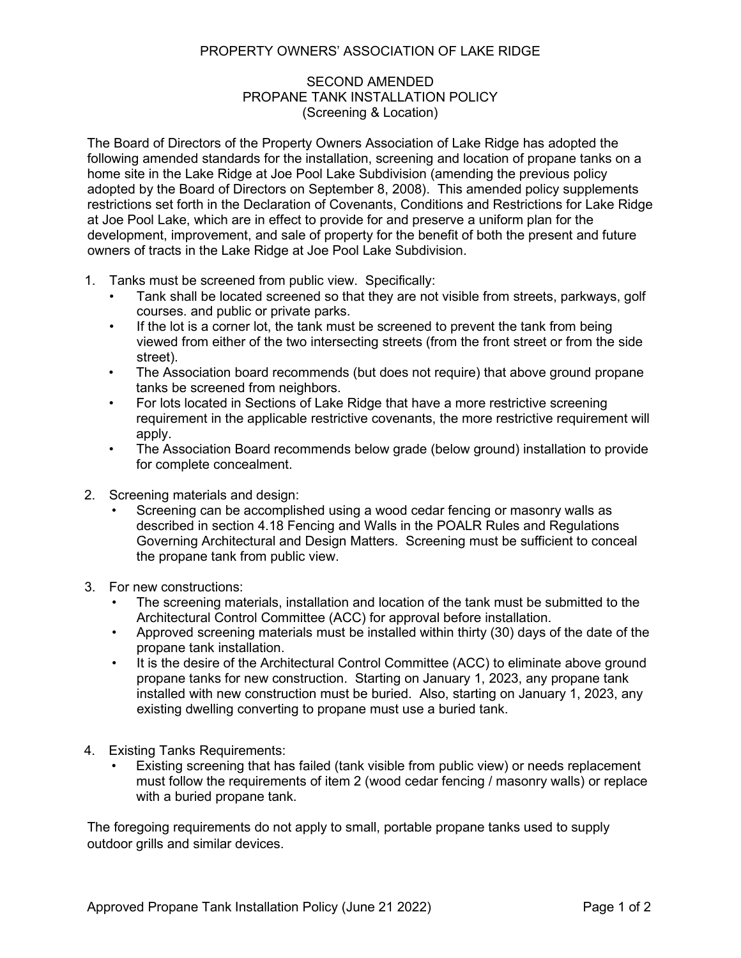## PROPERTY OWNERS' ASSOCIATION OF LAKE RIDGE

## SECOND AMENDED PROPANE TANK INSTALLATION POLICY (Screening & Location)

The Board of Directors of the Property Owners Association of Lake Ridge has adopted the following amended standards for the installation, screening and location of propane tanks on a home site in the Lake Ridge at Joe Pool Lake Subdivision (amending the previous policy adopted by the Board of Directors on September 8, 2008). This amended policy supplements restrictions set forth in the Declaration of Covenants, Conditions and Restrictions for Lake Ridge at Joe Pool Lake, which are in effect to provide for and preserve a uniform plan for the development, improvement, and sale of property for the benefit of both the present and future owners of tracts in the Lake Ridge at Joe Pool Lake Subdivision.

- 1. Tanks must be screened from public view. Specifically:
	- Tank shall be located screened so that they are not visible from streets, parkways, golf courses. and public or private parks.
	- If the lot is a corner lot, the tank must be screened to prevent the tank from being viewed from either of the two intersecting streets (from the front street or from the side street).
	- The Association board recommends (but does not require) that above ground propane tanks be screened from neighbors.
	- For lots located in Sections of Lake Ridge that have a more restrictive screening requirement in the applicable restrictive covenants, the more restrictive requirement will apply.
	- The Association Board recommends below grade (below ground) installation to provide for complete concealment.
- 2. Screening materials and design:
	- Screening can be accomplished using a wood cedar fencing or masonry walls as described in section 4.18 Fencing and Walls in the POALR Rules and Regulations Governing Architectural and Design Matters. Screening must be sufficient to conceal the propane tank from public view.
- 3. For new constructions:
	- The screening materials, installation and location of the tank must be submitted to the Architectural Control Committee (ACC) for approval before installation.
	- Approved screening materials must be installed within thirty (30) days of the date of the propane tank installation.
	- It is the desire of the Architectural Control Committee (ACC) to eliminate above ground propane tanks for new construction. Starting on January 1, 2023, any propane tank installed with new construction must be buried. Also, starting on January 1, 2023, any existing dwelling converting to propane must use a buried tank.
- 4. Existing Tanks Requirements:
	- Existing screening that has failed (tank visible from public view) or needs replacement must follow the requirements of item 2 (wood cedar fencing / masonry walls) or replace with a buried propane tank.

The foregoing requirements do not apply to small, portable propane tanks used to supply outdoor grills and similar devices.